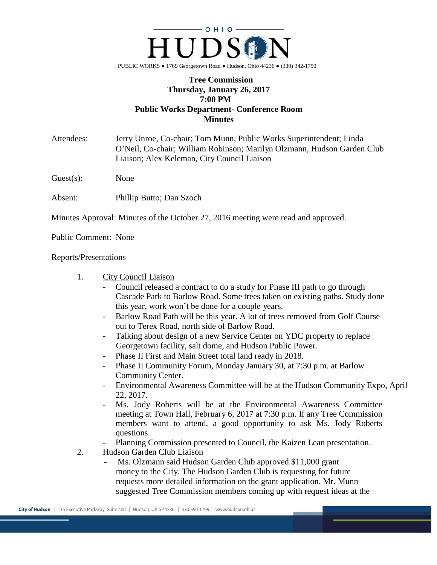

## **Tree Commission Thursday, January 26, 2017 7:00 PM Public Works Department- Conference Room Minutes**

Attendees: Jerry Unroe, Co-chair; Tom Munn, Public Works Superintendent; Linda O'Neil, Co-chair; William Robinson; Marilyn Olzmann, Hudson Garden Club Liaison; Alex Keleman, City Council Liaison

Guest(s): None

Absent: Phillip Butto; Dan Szoch

Minutes Approval: Minutes of the October 27, 2016 meeting were read and approved.

Public Comment: None

Reports/Presentations

- 1. City Council Liaison
	- Council released a contract to do a study for Phase III path to go through Cascade Park to Barlow Road. Some trees taken on existing paths. Study done this year, work won't be done for a couple years.
	- Barlow Road Path will be this year. A lot of trees removed from Golf Course out to Terex Road, north side of Barlow Road.
	- Talking about design of a new Service Center on YDC property to replace Georgetown facility, salt dome, and Hudson Public Power.
	- Phase II First and Main Street total land ready in 2018.
	- Phase II Community Forum, Monday January 30, at 7:30 p.m. at Barlow Community Center.
	- Environmental Awareness Committee will be at the Hudson Community Expo, April 22, 2017.
	- Ms. Jody Roberts will be at the Environmental Awareness Committee meeting at Town Hall, February 6, 2017 at 7:30 p.m. If any Tree Commission members want to attend, a good opportunity to ask Ms. Jody Roberts questions.
	- Planning Commission presented to Council, the Kaizen Lean presentation.
- 2. Hudson Garden Club Liaison
	- Ms. Olzmann said Hudson Garden Club approved \$11,000 grant money to the City. The Hudson Garden Club is requesting for future requests more detailed information on the grant application. Mr. Munn suggested Tree Commission members coming up with request ideas at the